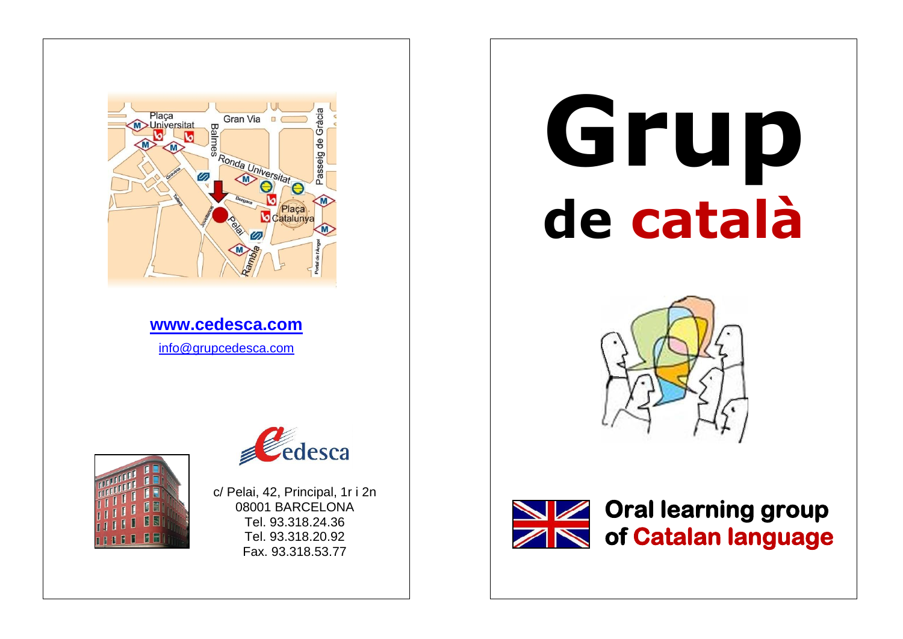

# **Grup de català**